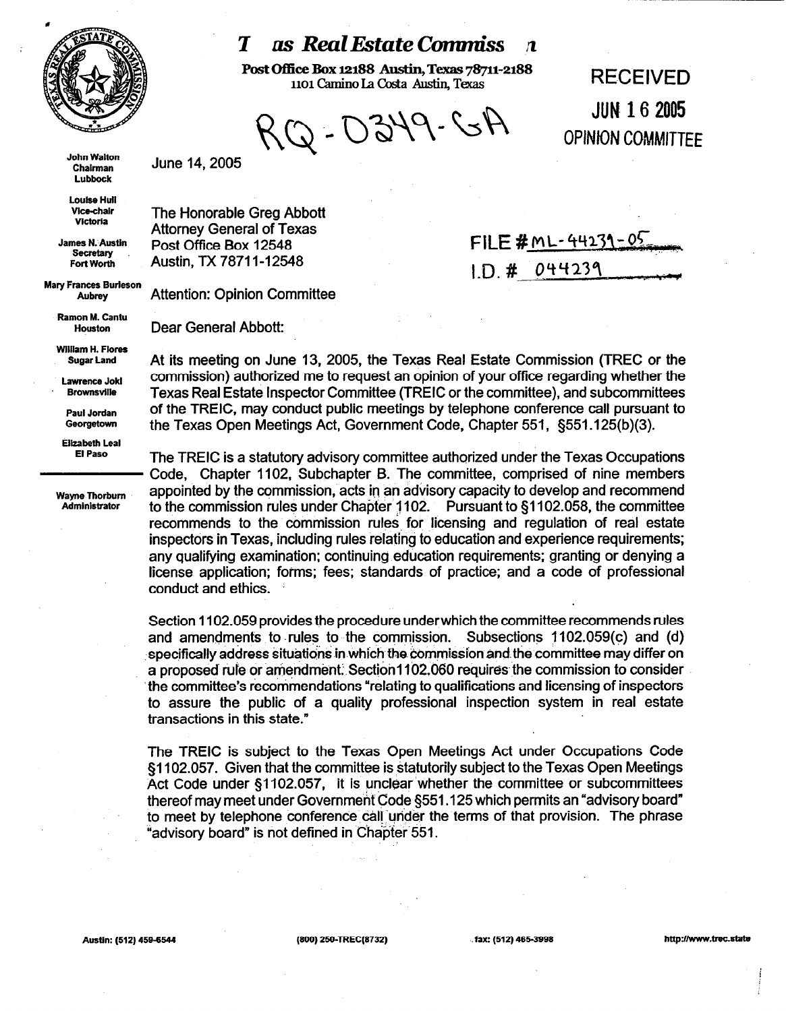

## *as Real Estate Commiss*

Post Office Box 12188 Austin, Texas 78711-2188 1101 Camino La Costa Austin, Texas 70/11-2100<br>1101 Camino La Costa Austin, Texas

 $7 - 0349 - 64$ 

**JUN 16 2005 OPINION COMMITTEE** 

**John Walton Chairman Lubbock** 

June 14,2005

The Honorable Greg Abbott Attorney General of Texas Post Office Box 12548 Austin, TX 78711-12548

Attention: Opinion Committee

Dear General Abbott:

FILE #  $ML-44231-05$  $1. D. # 044239$ 

**Louise Hull Vlce-chalr Wctoria** 

**James N. Austin secretary Fort Worth** 

**Mary Frances Burleson Aubrey** 

> **Ramon M. Cantu Houston**

**WIlllam H. Flares Sugar Land** 

**Lawrence Jokl Brownsville** 

**Paul Jordan Georgetown** 

**Elizabeth Lea1 El Paso** 

**Wayne Thorbum Administrator** 

At its meeting on June 13, 2005, the Texas Real Estate Commission (TREC or the commission) authorized me to request an opinion of your office regarding whether the Texas Real Estate Inspector Committee (TREIC or the committee), and subcommittees of the TREIC, may conduct public meetings by telephone conference call pursuant to the Texas Open Meetings Act, Government Code, Chapter 551, §551 .125(b)(3).

The TREIC is a statutory advisory committee authorized under the Texas Occupations Code, Chapter 1102, Subchapter B. The committee, comprised of nine members appointed by the commission, acts in an advisory capacity to develop and recommend to the commission rules under Chapter 1102. Pursuant to \$1102.058, the committee recommends to the commission rules for licensing and regulation of real estate inspectors in Texas, including rules relating to education and experience requirements; any qualifying examination; continuing education requirements; granting or denying a license application; forms; fees; standards of practice; and a code of professional conduct and ethics.

Section 1102.059 provides the procedure underwhich the committee recommends rules and amendments to rules to the commission. Subsections  $1102.059(c)$  and (d) specifically address situations in which the commission and the committee may differ on a proposed rule or amendment. Section1102.060 requires the commission to consider 'the committee's recommendations "relating to qualifications and licensing of inspectors to assure the public of a quality professional inspection system in real estate transactions in this state."

The TREIC is subject to the Texas Open Meetings Act under Occupations Code §1102.057. Given that the committee is statutorily subject to the Texas Open Meetings Act Code under \$1102.057, it is unclear whether the committee or subcommittees thereof may meet under Government Code 5551 .I 25 which permits an "advisory board" to meet by telephone conference call under the terms of that provision. The phrase "advisory board" is not defined in Chapter.551.

**Austin: (512) 458-8544 (800) 258~'lREC(8732) . . fax: (512) 465.3998 http://www.trac.stata**